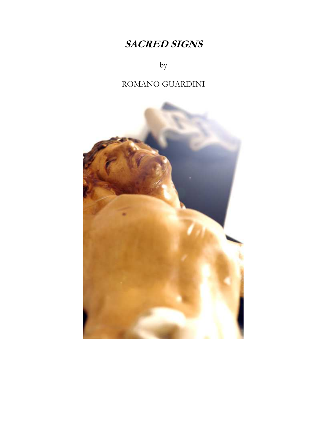# SACRED SIGNS

by

## ROMANO GUARDINI

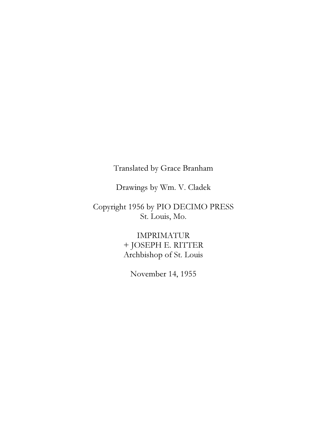Translated by Grace Branham

Drawings by Wm. V. Cladek

Copyright 1956 by PIO DECIMO PRESS St. Louis, Mo.

> IMPRIMATUR + JOSEPH E. RITTER Archbishop of St. Louis

November 14, 1955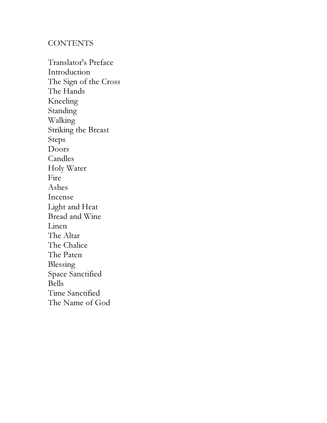#### **CONTENTS**

Translator's Preface Introduction The Sign of the Cross The Hands Kneeling Standing Walking Striking the Breast Steps Doors Candles Holy Water Fire Ashes Incense Light and Heat Bread and Wine Linen The Altar The Chalice The Paten Blessing Space Sanctified Bells Time Sanctified The Name of God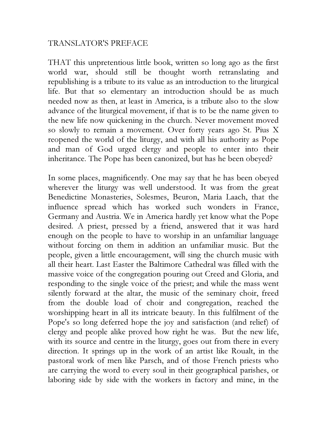#### TRANSLATOR'S PREFACE

THAT this unpretentious little book, written so long ago as the first world war, should still be thought worth retranslating and republishing is a tribute to its value as an introduction to the liturgical life. But that so elementary an introduction should be as much needed now as then, at least in America, is a tribute also to the slow advance of the liturgical movement, if that is to be the name given to the new life now quickening in the church. Never movement moved so slowly to remain a movement. Over forty years ago St. Pius X reopened the world of the liturgy, and with all his authority as Pope and man of God urged clergy and people to enter into their inheritance. The Pope has been canonized, but has he been obeyed?

In some places, magnificently. One may say that he has been obeyed wherever the liturgy was well understood. It was from the great Benedictine Monasteries, Solesmes, Beuron, Maria Laach, that the influence spread which has worked such wonders in France, Germany and Austria. We in America hardly yet know what the Pope desired. A priest, pressed by a friend, answered that it was hard enough on the people to have to worship in an unfamiliar language without forcing on them in addition an unfamiliar music. But the people, given a little encouragement, will sing the church music with all their heart. Last Easter the Baltimore Cathedral was filled with the massive voice of the congregation pouring out Creed and Gloria, and responding to the single voice of the priest; and while the mass went silently forward at the altar, the music of the seminary choir, freed from the double load of choir and congregation, reached the worshipping heart in all its intricate beauty. In this fulfilment of the Pope's so long deferred hope the joy and satisfaction (and relief) of clergy and people alike proved how right he was. But the new life, with its source and centre in the liturgy, goes out from there in every direction. It springs up in the work of an artist like Roualt, in the pastoral work of men like Parsch, and of those French priests who are carrying the word to every soul in their geographical parishes, or laboring side by side with the workers in factory and mine, in the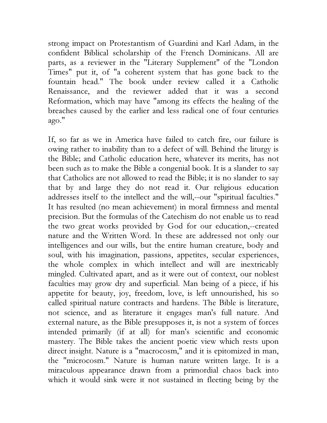strong impact on Protestantism of Guardini and Karl Adam, in the confident Biblical scholarship of the French Dominicans. All are parts, as a reviewer in the "Literary Supplement" of the "London Times" put it, of "a coherent system that has gone back to the fountain head." The book under review called it a Catholic Renaissance, and the reviewer added that it was a second Reformation, which may have "among its effects the healing of the breaches caused by the earlier and less radical one of four centuries ago."

If, so far as we in America have failed to catch fire, our failure is owing rather to inability than to a defect of will. Behind the liturgy is the Bible; and Catholic education here, whatever its merits, has not been such as to make the Bible a congenial book. It is a slander to say that Catholics are not allowed to read the Bible; it is no slander to say that by and large they do not read it. Our religious education addresses itself to the intellect and the will,--our "spiritual faculties." It has resulted (no mean achievement) in moral firmness and mental precision. But the formulas of the Catechism do not enable us to read the two great works provided by God for our education,--created nature and the Written Word. In these are addressed not only our intelligences and our wills, but the entire human creature, body and soul, with his imagination, passions, appetites, secular experiences, the whole complex in which intellect and will are inextricably mingled. Cultivated apart, and as it were out of context, our noblest faculties may grow dry and superficial. Man being of a piece, if his appetite for beauty, joy, freedom, love, is left unnourished, his so called spiritual nature contracts and hardens. The Bible is literature, not science, and as literature it engages man's full nature. And external nature, as the Bible presupposes it, is not a system of forces intended primarily (if at all) for man's scientific and economic mastery. The Bible takes the ancient poetic view which rests upon direct insight. Nature is a "macrocosm," and it is epitomized in man, the "microcosm." Nature is human nature written large. It is a miraculous appearance drawn from a primordial chaos back into which it would sink were it not sustained in fleeting being by the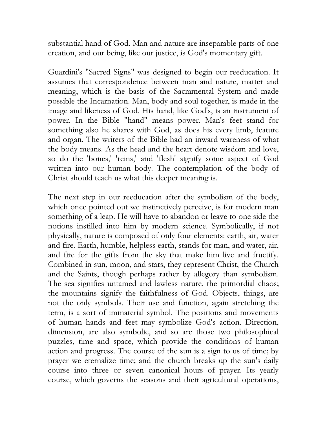substantial hand of God. Man and nature are inseparable parts of one creation, and our being, like our justice, is God's momentary gift.

Guardini's "Sacred Signs" was designed to begin our reeducation. It assumes that correspondence between man and nature, matter and meaning, which is the basis of the Sacramental System and made possible the Incarnation. Man, body and soul together, is made in the image and likeness of God. His hand, like God's, is an instrument of power. In the Bible "hand" means power. Man's feet stand for something also he shares with God, as does his every limb, feature and organ. The writers of the Bible had an inward wareness of what the body means. As the head and the heart denote wisdom and love, so do the 'bones,' 'reins,' and 'flesh' signify some aspect of God written into our human body. The contemplation of the body of Christ should teach us what this deeper meaning is.

The next step in our reeducation after the symbolism of the body, which once pointed out we instinctively perceive, is for modern man something of a leap. He will have to abandon or leave to one side the notions instilled into him by modern science. Symbolically, if not physically, nature is composed of only four elements: earth, air, water and fire. Earth, humble, helpless earth, stands for man, and water, air, and fire for the gifts from the sky that make him live and fructify. Combined in sun, moon, and stars, they represent Christ, the Church and the Saints, though perhaps rather by allegory than symbolism. The sea signifies untamed and lawless nature, the primordial chaos; the mountains signify the faithfulness of God. Objects, things, are not the only symbols. Their use and function, again stretching the term, is a sort of immaterial symbol. The positions and movements of human hands and feet may symbolize God's action. Direction, dimension, are also symbolic, and so are those two philosophical puzzles, time and space, which provide the conditions of human action and progress. The course of the sun is a sign to us of time; by prayer we eternalize time; and the church breaks up the sun's daily course into three or seven canonical hours of prayer. Its yearly course, which governs the seasons and their agricultural operations,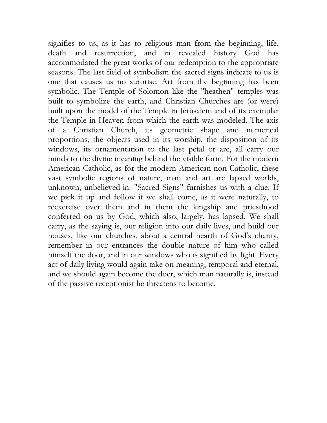signifies to us, as it has to religious man from the beginning, life, death and resurrection, and in revealed history God has accommodated the great works of our redemption to the appropriate seasons. The last field of symbolism the sacred signs indicate to us is one that causes us no surprise. Art from the beginning has been symbolic. The Temple of Solomon like the "heathen" temples was built to symbolize the earth, and Christian Churches are (or were) built upon the model of the Temple in Jerusalem and of its exemplar the Temple in Heaven from which the earth was modeled. The axis of a Christian Church, its geometric shape and numerical proportions, the objects used in its worship, the disposition of its windows, its ornamentation to the last petal or arc, all carry our minds to the divine meaning behind the visible form. For the modern American Catholic, as for the modern American non-Catholic, these vast symbolic regions of nature, man and art are lapsed worlds, unknown, unbelieved-in. "Sacred Signs" furnishes us with a clue. If we pick it up and follow it we shall come, as it were naturally, to reexercise over them and in them the kingship and priesthood conferred on us by God, which also, largely, has lapsed. We shall carry, as the saying is, our religion into our daily lives, and build our houses, like our churches, about a central hearth of God's charity, remember in our entrances the double nature of him who called himself the door, and in our windows who is signified by light. Every act of daily living would again take on meaning, temporal and eternal, and we should again become the doer, which man naturally is, instead of the passive receptionist he threatens to become.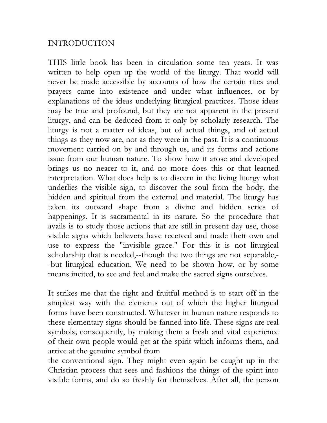#### INTRODUCTION

THIS little book has been in circulation some ten years. It was written to help open up the world of the liturgy. That world will never be made accessible by accounts of how the certain rites and prayers came into existence and under what influences, or by explanations of the ideas underlying liturgical practices. Those ideas may be true and profound, but they are not apparent in the present liturgy, and can be deduced from it only by scholarly research. The liturgy is not a matter of ideas, but of actual things, and of actual things as they now are, not as they were in the past. It is a continuous movement carried on by and through us, and its forms and actions issue from our human nature. To show how it arose and developed brings us no nearer to it, and no more does this or that learned interpretation. What does help is to discern in the living liturgy what underlies the visible sign, to discover the soul from the body, the hidden and spiritual from the external and material. The liturgy has taken its outward shape from a divine and hidden series of happenings. It is sacramental in its nature. So the procedure that avails is to study those actions that are still in present day use, those visible signs which believers have received and made their own and use to express the "invisible grace." For this it is not liturgical scholarship that is needed,--though the two things are not separable,- -but liturgical education. We need to be shown how, or by some means incited, to see and feel and make the sacred signs ourselves.

It strikes me that the right and fruitful method is to start off in the simplest way with the elements out of which the higher liturgical forms have been constructed. Whatever in human nature responds to these elementary signs should be fanned into life. These signs are real symbols; consequently, by making them a fresh and vital experience of their own people would get at the spirit which informs them, and arrive at the genuine symbol from

the conventional sign. They might even again be caught up in the Christian process that sees and fashions the things of the spirit into visible forms, and do so freshly for themselves. After all, the person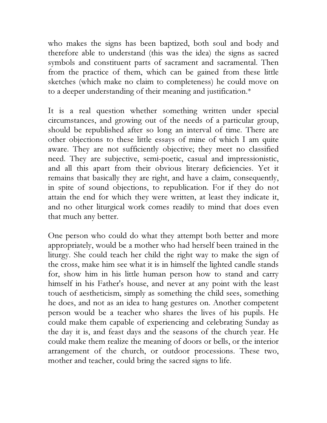who makes the signs has been baptized, both soul and body and therefore able to understand (this was the idea) the signs as sacred symbols and constituent parts of sacrament and sacramental. Then from the practice of them, which can be gained from these little sketches (which make no claim to completeness) he could move on to a deeper understanding of their meaning and justification.\*

It is a real question whether something written under special circumstances, and growing out of the needs of a particular group, should be republished after so long an interval of time. There are other objections to these little essays of mine of which I am quite aware. They are not sufficiently objective; they meet no classified need. They are subjective, semi-poetic, casual and impressionistic, and all this apart from their obvious literary deficiencies. Yet it remains that basically they are right, and have a claim, consequently, in spite of sound objections, to republication. For if they do not attain the end for which they were written, at least they indicate it, and no other liturgical work comes readily to mind that does even that much any better.

One person who could do what they attempt both better and more appropriately, would be a mother who had herself been trained in the liturgy. She could teach her child the right way to make the sign of the cross, make him see what it is in himself the lighted candle stands for, show him in his little human person how to stand and carry himself in his Father's house, and never at any point with the least touch of aestheticism, simply as something the child sees, something he does, and not as an idea to hang gestures on. Another competent person would be a teacher who shares the lives of his pupils. He could make them capable of experiencing and celebrating Sunday as the day it is, and feast days and the seasons of the church year. He could make them realize the meaning of doors or bells, or the interior arrangement of the church, or outdoor processions. These two, mother and teacher, could bring the sacred signs to life.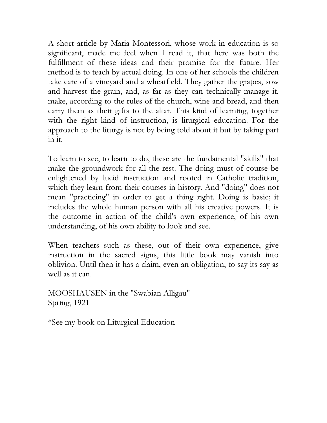A short article by Maria Montessori, whose work in education is so significant, made me feel when I read it, that here was both the fulfillment of these ideas and their promise for the future. Her method is to teach by actual doing. In one of her schools the children take care of a vineyard and a wheatfield. They gather the grapes, sow and harvest the grain, and, as far as they can technically manage it, make, according to the rules of the church, wine and bread, and then carry them as their gifts to the altar. This kind of learning, together with the right kind of instruction, is liturgical education. For the approach to the liturgy is not by being told about it but by taking part in it.

To learn to see, to learn to do, these are the fundamental "skills" that make the groundwork for all the rest. The doing must of course be enlightened by lucid instruction and rooted in Catholic tradition, which they learn from their courses in history. And "doing" does not mean "practicing" in order to get a thing right. Doing is basic; it includes the whole human person with all his creative powers. It is the outcome in action of the child's own experience, of his own understanding, of his own ability to look and see.

When teachers such as these, out of their own experience, give instruction in the sacred signs, this little book may vanish into oblivion. Until then it has a claim, even an obligation, to say its say as well as it can.

MOOSHAUSEN in the "Swabian Alligau" Spring, 1921

\*See my book on Liturgical Education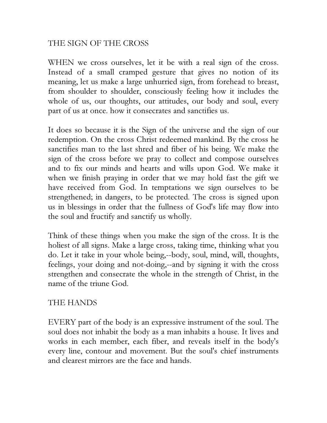### THE SIGN OF THE CROSS

WHEN we cross ourselves, let it be with a real sign of the cross. Instead of a small cramped gesture that gives no notion of its meaning, let us make a large unhurried sign, from forehead to breast, from shoulder to shoulder, consciously feeling how it includes the whole of us, our thoughts, our attitudes, our body and soul, every part of us at once. how it consecrates and sanctifies us.

It does so because it is the Sign of the universe and the sign of our redemption. On the cross Christ redeemed mankind. By the cross he sanctifies man to the last shred and fiber of his being. We make the sign of the cross before we pray to collect and compose ourselves and to fix our minds and hearts and wills upon God. We make it when we finish praying in order that we may hold fast the gift we have received from God. In temptations we sign ourselves to be strengthened; in dangers, to be protected. The cross is signed upon us in blessings in order that the fullness of God's life may flow into the soul and fructify and sanctify us wholly.

Think of these things when you make the sign of the cross. It is the holiest of all signs. Make a large cross, taking time, thinking what you do. Let it take in your whole being,--body, soul, mind, will, thoughts, feelings, your doing and not-doing,--and by signing it with the cross strengthen and consecrate the whole in the strength of Christ, in the name of the triune God.

#### THE HANDS

EVERY part of the body is an expressive instrument of the soul. The soul does not inhabit the body as a man inhabits a house. It lives and works in each member, each fiber, and reveals itself in the body's every line, contour and movement. But the soul's chief instruments and clearest mirrors are the face and hands.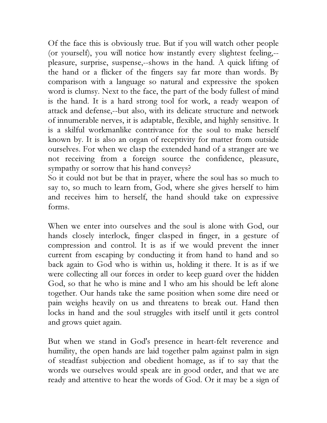Of the face this is obviously true. But if you will watch other people (or yourself), you will notice how instantly every slightest feeling,- pleasure, surprise, suspense,--shows in the hand. A quick lifting of the hand or a flicker of the fingers say far more than words. By comparison with a language so natural and expressive the spoken word is clumsy. Next to the face, the part of the body fullest of mind is the hand. It is a hard strong tool for work, a ready weapon of attack and defense,--but also, with its delicate structure and network of innumerable nerves, it is adaptable, flexible, and highly sensitive. It is a skilful workmanlike contrivance for the soul to make herself known by. It is also an organ of receptivity for matter from outside ourselves. For when we clasp the extended hand of a stranger are we not receiving from a foreign source the confidence, pleasure, sympathy or sorrow that his hand conveys?

So it could not but be that in prayer, where the soul has so much to say to, so much to learn from, God, where she gives herself to him and receives him to herself, the hand should take on expressive forms.

When we enter into ourselves and the soul is alone with God, our hands closely interlock, finger clasped in finger, in a gesture of compression and control. It is as if we would prevent the inner current from escaping by conducting it from hand to hand and so back again to God who is within us, holding it there. It is as if we were collecting all our forces in order to keep guard over the hidden God, so that he who is mine and I who am his should be left alone together. Our hands take the same position when some dire need or pain weighs heavily on us and threatens to break out. Hand then locks in hand and the soul struggles with itself until it gets control and grows quiet again.

But when we stand in God's presence in heart-felt reverence and humility, the open hands are laid together palm against palm in sign of steadfast subjection and obedient homage, as if to say that the words we ourselves would speak are in good order, and that we are ready and attentive to hear the words of God. Or it may be a sign of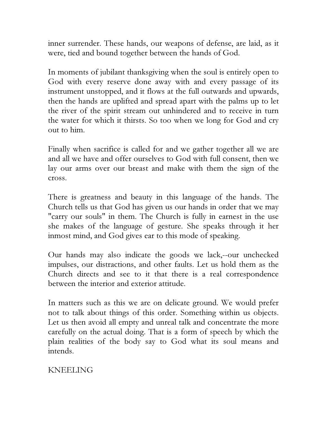inner surrender. These hands, our weapons of defense, are laid, as it were, tied and bound together between the hands of God.

In moments of jubilant thanksgiving when the soul is entirely open to God with every reserve done away with and every passage of its instrument unstopped, and it flows at the full outwards and upwards, then the hands are uplifted and spread apart with the palms up to let the river of the spirit stream out unhindered and to receive in turn the water for which it thirsts. So too when we long for God and cry out to him.

Finally when sacrifice is called for and we gather together all we are and all we have and offer ourselves to God with full consent, then we lay our arms over our breast and make with them the sign of the cross.

There is greatness and beauty in this language of the hands. The Church tells us that God has given us our hands in order that we may "carry our souls" in them. The Church is fully in earnest in the use she makes of the language of gesture. She speaks through it her inmost mind, and God gives ear to this mode of speaking.

Our hands may also indicate the goods we lack,--our unchecked impulses, our distractions, and other faults. Let us hold them as the Church directs and see to it that there is a real correspondence between the interior and exterior attitude.

In matters such as this we are on delicate ground. We would prefer not to talk about things of this order. Something within us objects. Let us then avoid all empty and unreal talk and concentrate the more carefully on the actual doing. That is a form of speech by which the plain realities of the body say to God what its soul means and intends.

KNEELING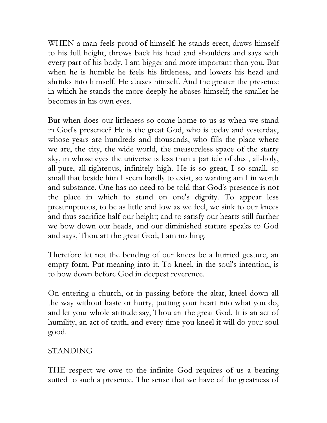WHEN a man feels proud of himself, he stands erect, draws himself to his full height, throws back his head and shoulders and says with every part of his body, I am bigger and more important than you. But when he is humble he feels his littleness, and lowers his head and shrinks into himself. He abases himself. And the greater the presence in which he stands the more deeply he abases himself; the smaller he becomes in his own eyes.

But when does our littleness so come home to us as when we stand in God's presence? He is the great God, who is today and yesterday, whose years are hundreds and thousands, who fills the place where we are, the city, the wide world, the measureless space of the starry sky, in whose eyes the universe is less than a particle of dust, all-holy, all-pure, all-righteous, infinitely high. He is so great, I so small, so small that beside him I seem hardly to exist, so wanting am I in worth and substance. One has no need to be told that God's presence is not the place in which to stand on one's dignity. To appear less presumptuous, to be as little and low as we feel, we sink to our knees and thus sacrifice half our height; and to satisfy our hearts still further we bow down our heads, and our diminished stature speaks to God and says, Thou art the great God; I am nothing.

Therefore let not the bending of our knees be a hurried gesture, an empty form. Put meaning into it. To kneel, in the soul's intention, is to bow down before God in deepest reverence.

On entering a church, or in passing before the altar, kneel down all the way without haste or hurry, putting your heart into what you do, and let your whole attitude say, Thou art the great God. It is an act of humility, an act of truth, and every time you kneel it will do your soul good.

## STANDING

THE respect we owe to the infinite God requires of us a bearing suited to such a presence. The sense that we have of the greatness of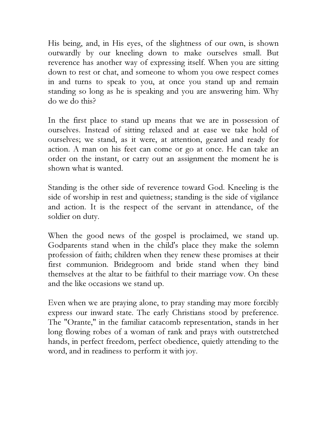His being, and, in His eyes, of the slightness of our own, is shown outwardly by our kneeling down to make ourselves small. But reverence has another way of expressing itself. When you are sitting down to rest or chat, and someone to whom you owe respect comes in and turns to speak to you, at once you stand up and remain standing so long as he is speaking and you are answering him. Why do we do this?

In the first place to stand up means that we are in possession of ourselves. Instead of sitting relaxed and at ease we take hold of ourselves; we stand, as it were, at attention, geared and ready for action. A man on his feet can come or go at once. He can take an order on the instant, or carry out an assignment the moment he is shown what is wanted.

Standing is the other side of reverence toward God. Kneeling is the side of worship in rest and quietness; standing is the side of vigilance and action. It is the respect of the servant in attendance, of the soldier on duty.

When the good news of the gospel is proclaimed, we stand up. Godparents stand when in the child's place they make the solemn profession of faith; children when they renew these promises at their first communion. Bridegroom and bride stand when they bind themselves at the altar to be faithful to their marriage vow. On these and the like occasions we stand up.

Even when we are praying alone, to pray standing may more forcibly express our inward state. The early Christians stood by preference. The "Orante," in the familiar catacomb representation, stands in her long flowing robes of a woman of rank and prays with outstretched hands, in perfect freedom, perfect obedience, quietly attending to the word, and in readiness to perform it with joy.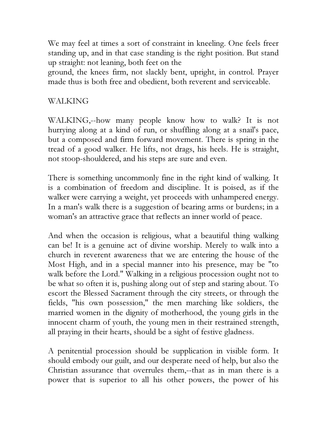We may feel at times a sort of constraint in kneeling. One feels freer standing up, and in that case standing is the right position. But stand up straight: not leaning, both feet on the

ground, the knees firm, not slackly bent, upright, in control. Prayer made thus is both free and obedient, both reverent and serviceable.

#### WALKING

WALKING,--how many people know how to walk? It is not hurrying along at a kind of run, or shuffling along at a snail's pace, but a composed and firm forward movement. There is spring in the tread of a good walker. He lifts, not drags, his heels. He is straight, not stoop-shouldered, and his steps are sure and even.

There is something uncommonly fine in the right kind of walking. It is a combination of freedom and discipline. It is poised, as if the walker were carrying a weight, yet proceeds with unhampered energy. In a man's walk there is a suggestion of bearing arms or burdens; in a woman's an attractive grace that reflects an inner world of peace.

And when the occasion is religious, what a beautiful thing walking can be! It is a genuine act of divine worship. Merely to walk into a church in reverent awareness that we are entering the house of the Most High, and in a special manner into his presence, may be "to walk before the Lord." Walking in a religious procession ought not to be what so often it is, pushing along out of step and staring about. To escort the Blessed Sacrament through the city streets, or through the fields, "his own possession," the men marching like soldiers, the married women in the dignity of motherhood, the young girls in the innocent charm of youth, the young men in their restrained strength, all praying in their hearts, should be a sight of festive gladness.

A penitential procession should be supplication in visible form. It should embody our guilt, and our desperate need of help, but also the Christian assurance that overrules them,--that as in man there is a power that is superior to all his other powers, the power of his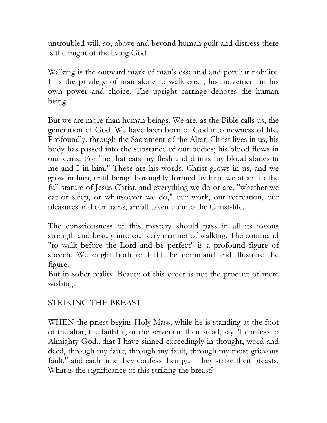untroubled will, so, above and beyond human guilt and distress there is the might of the living God.

Walking is the outward mark of man's essential and peculiar nobility. It is the privilege of man alone to walk erect, his movement in his own power and choice. The upright carriage denotes the human being.

But we are more than human beings. We are, as the Bible calls us, the generation of God. We have been born of God into newness of life. Profoundly, through the Sacrament of the Altar, Christ lives in us; his body has passed into the substance of our bodies; his blood flows in our veins. For "he that eats my flesh and drinks my blood abides in me and I in him." These are his words. Christ grows in us, and we grow in him, until being thoroughly formed by him, we attain to the full stature of Jesus Christ, and everything we do or are, "whether we eat or sleep, or whatsoever we do," our work, our recreation, our pleasures and our pains, are all taken up into the Christ-life.

The consciousness of this mystery should pass in all its joyous strength and beauty into our very manner of walking. The command "to walk before the Lord and be perfect" is a profound figure of speech. We ought both to fulfil the command and illustrate the figure.

But in sober reality. Beauty of this order is not the product of mere wishing.

## STRIKING THE BREAST

WHEN the priest begins Holy Mass, while he is standing at the foot of the altar, the faithful, or the servers in their stead, say "I confess to Almighty God...that I have sinned exceedingly in thought, word and deed, through my fault, through my fault, through my most grievous fault," and each time they confess their guilt they strike their breasts. What is the significance of this striking the breast?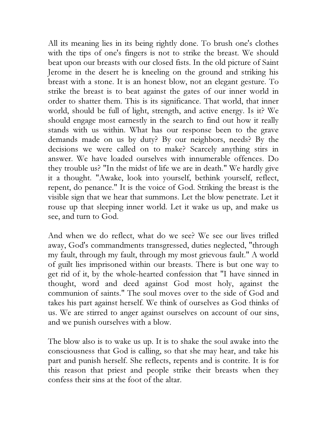All its meaning lies in its being rightly done. To brush one's clothes with the tips of one's fingers is not to strike the breast. We should beat upon our breasts with our closed fists. In the old picture of Saint Jerome in the desert he is kneeling on the ground and striking his breast with a stone. It is an honest blow, not an elegant gesture. To strike the breast is to beat against the gates of our inner world in order to shatter them. This is its significance. That world, that inner world, should be full of light, strength, and active energy. Is it? We should engage most earnestly in the search to find out how it really stands with us within. What has our response been to the grave demands made on us by duty? By our neighbors, needs? By the decisions we were called on to make? Scarcely anything stirs in answer. We have loaded ourselves with innumerable offences. Do they trouble us? "In the midst of life we are in death." We hardly give it a thought. "Awake, look into yourself, bethink yourself, reflect, repent, do penance." It is the voice of God. Striking the breast is the visible sign that we hear that summons. Let the blow penetrate. Let it rouse up that sleeping inner world. Let it wake us up, and make us see, and turn to God.

And when we do reflect, what do we see? We see our lives trifled away, God's commandments transgressed, duties neglected, "through my fault, through my fault, through my most grievous fault." A world of guilt lies imprisoned within our breasts. There is but one way to get rid of it, by the whole-hearted confession that "I have sinned in thought, word and deed against God most holy, against the communion of saints." The soul moves over to the side of God and takes his part against herself. We think of ourselves as God thinks of us. We are stirred to anger against ourselves on account of our sins, and we punish ourselves with a blow.

The blow also is to wake us up. It is to shake the soul awake into the consciousness that God is calling, so that she may hear, and take his part and punish herself. She reflects, repents and is contrite. It is for this reason that priest and people strike their breasts when they confess their sins at the foot of the altar.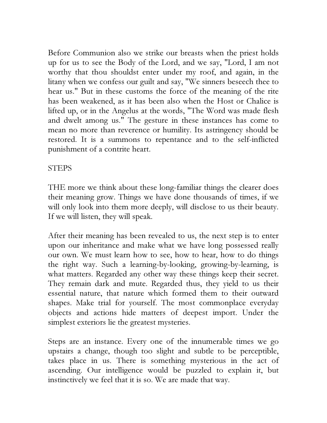Before Communion also we strike our breasts when the priest holds up for us to see the Body of the Lord, and we say, "Lord, I am not worthy that thou shouldst enter under my roof, and again, in the litany when we confess our guilt and say, "We sinners beseech thee to hear us." But in these customs the force of the meaning of the rite has been weakened, as it has been also when the Host or Chalice is lifted up, or in the Angelus at the words, "The Word was made flesh and dwelt among us." The gesture in these instances has come to mean no more than reverence or humility. Its astringency should be restored. It is a summons to repentance and to the self-inflicted punishment of a contrite heart.

## **STEPS**

THE more we think about these long-familiar things the clearer does their meaning grow. Things we have done thousands of times, if we will only look into them more deeply, will disclose to us their beauty. If we will listen, they will speak.

After their meaning has been revealed to us, the next step is to enter upon our inheritance and make what we have long possessed really our own. We must learn how to see, how to hear, how to do things the right way. Such a learning-by-looking, growing-by-learning, is what matters. Regarded any other way these things keep their secret. They remain dark and mute. Regarded thus, they yield to us their essential nature, that nature which formed them to their outward shapes. Make trial for yourself. The most commonplace everyday objects and actions hide matters of deepest import. Under the simplest exteriors lie the greatest mysteries.

Steps are an instance. Every one of the innumerable times we go upstairs a change, though too slight and subtle to be perceptible, takes place in us. There is something mysterious in the act of ascending. Our intelligence would be puzzled to explain it, but instinctively we feel that it is so. We are made that way.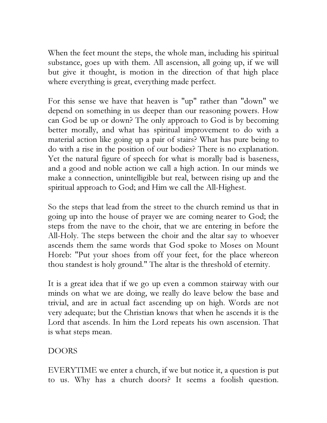When the feet mount the steps, the whole man, including his spiritual substance, goes up with them. All ascension, all going up, if we will but give it thought, is motion in the direction of that high place where everything is great, everything made perfect.

For this sense we have that heaven is "up" rather than "down" we depend on something in us deeper than our reasoning powers. How can God be up or down? The only approach to God is by becoming better morally, and what has spiritual improvement to do with a material action like going up a pair of stairs? What has pure being to do with a rise in the position of our bodies? There is no explanation. Yet the natural figure of speech for what is morally bad is baseness, and a good and noble action we call a high action. In our minds we make a connection, unintelligible but real, between rising up and the spiritual approach to God; and Him we call the All-Highest.

So the steps that lead from the street to the church remind us that in going up into the house of prayer we are coming nearer to God; the steps from the nave to the choir, that we are entering in before the All-Holy. The steps between the choir and the altar say to whoever ascends them the same words that God spoke to Moses on Mount Horeb: "Put your shoes from off your feet, for the place whereon thou standest is holy ground." The altar is the threshold of eternity.

It is a great idea that if we go up even a common stairway with our minds on what we are doing, we really do leave below the base and trivial, and are in actual fact ascending up on high. Words are not very adequate; but the Christian knows that when he ascends it is the Lord that ascends. In him the Lord repeats his own ascension. That is what steps mean.

## DOORS

EVERYTIME we enter a church, if we but notice it, a question is put to us. Why has a church doors? It seems a foolish question.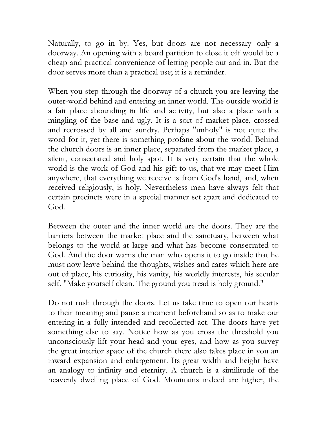Naturally, to go in by. Yes, but doors are not necessary--only a doorway. An opening with a board partition to close it off would be a cheap and practical convenience of letting people out and in. But the door serves more than a practical use; it is a reminder.

When you step through the doorway of a church you are leaving the outer-world behind and entering an inner world. The outside world is a fair place abounding in life and activity, but also a place with a mingling of the base and ugly. It is a sort of market place, crossed and recrossed by all and sundry. Perhaps "unholy" is not quite the word for it, yet there is something profane about the world. Behind the church doors is an inner place, separated from the market place, a silent, consecrated and holy spot. It is very certain that the whole world is the work of God and his gift to us, that we may meet Him anywhere, that everything we receive is from God's hand, and, when received religiously, is holy. Nevertheless men have always felt that certain precincts were in a special manner set apart and dedicated to God.

Between the outer and the inner world are the doors. They are the barriers between the market place and the sanctuary, between what belongs to the world at large and what has become consecrated to God. And the door warns the man who opens it to go inside that he must now leave behind the thoughts, wishes and cares which here are out of place, his curiosity, his vanity, his worldly interests, his secular self. "Make yourself clean. The ground you tread is holy ground."

Do not rush through the doors. Let us take time to open our hearts to their meaning and pause a moment beforehand so as to make our entering-in a fully intended and recollected act. The doors have yet something else to say. Notice how as you cross the threshold you unconsciously lift your head and your eyes, and how as you survey the great interior space of the church there also takes place in you an inward expansion and enlargement. Its great width and height have an analogy to infinity and eternity. A church is a similitude of the heavenly dwelling place of God. Mountains indeed are higher, the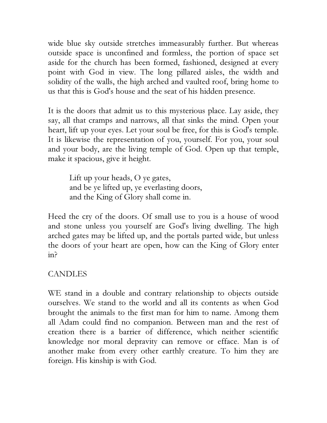wide blue sky outside stretches immeasurably further. But whereas outside space is unconfined and formless, the portion of space set aside for the church has been formed, fashioned, designed at every point with God in view. The long pillared aisles, the width and solidity of the walls, the high arched and vaulted roof, bring home to us that this is God's house and the seat of his hidden presence.

It is the doors that admit us to this mysterious place. Lay aside, they say, all that cramps and narrows, all that sinks the mind. Open your heart, lift up your eyes. Let your soul be free, for this is God's temple. It is likewise the representation of you, yourself. For you, your soul and your body, are the living temple of God. Open up that temple, make it spacious, give it height.

 Lift up your heads, O ye gates, and be ye lifted up, ye everlasting doors, and the King of Glory shall come in.

Heed the cry of the doors. Of small use to you is a house of wood and stone unless you yourself are God's living dwelling. The high arched gates may be lifted up, and the portals parted wide, but unless the doors of your heart are open, how can the King of Glory enter in?

### CANDLES

WE stand in a double and contrary relationship to objects outside ourselves. We stand to the world and all its contents as when God brought the animals to the first man for him to name. Among them all Adam could find no companion. Between man and the rest of creation there is a barrier of difference, which neither scientific knowledge nor moral depravity can remove or efface. Man is of another make from every other earthly creature. To him they are foreign. His kinship is with God.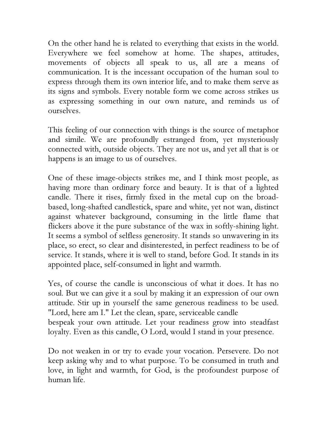On the other hand he is related to everything that exists in the world. Everywhere we feel somehow at home. The shapes, attitudes, movements of objects all speak to us, all are a means of communication. It is the incessant occupation of the human soul to express through them its own interior life, and to make them serve as its signs and symbols. Every notable form we come across strikes us as expressing something in our own nature, and reminds us of ourselves.

This feeling of our connection with things is the source of metaphor and simile. We are profoundly estranged from, yet mysteriously connected with, outside objects. They are not us, and yet all that is or happens is an image to us of ourselves.

One of these image-objects strikes me, and I think most people, as having more than ordinary force and beauty. It is that of a lighted candle. There it rises, firmly fixed in the metal cup on the broadbased, long-shafted candlestick, spare and white, yet not wan, distinct against whatever background, consuming in the little flame that flickers above it the pure substance of the wax in softly-shining light. It seems a symbol of selfless generosity. It stands so unwavering in its place, so erect, so clear and disinterested, in perfect readiness to be of service. It stands, where it is well to stand, before God. It stands in its appointed place, self-consumed in light and warmth.

Yes, of course the candle is unconscious of what it does. It has no soul. But we can give it a soul by making it an expression of our own attitude. Stir up in yourself the same generous readiness to be used. "Lord, here am I." Let the clean, spare, serviceable candle bespeak your own attitude. Let your readiness grow into steadfast loyalty. Even as this candle, O Lord, would I stand in your presence.

Do not weaken in or try to evade your vocation. Persevere. Do not keep asking why and to what purpose. To be consumed in truth and love, in light and warmth, for God, is the profoundest purpose of human life.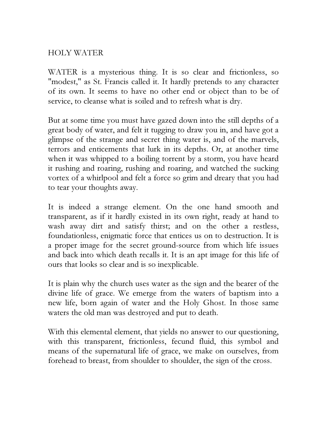#### HOLY WATER

WATER is a mysterious thing. It is so clear and frictionless, so "modest," as St. Francis called it. It hardly pretends to any character of its own. It seems to have no other end or object than to be of service, to cleanse what is soiled and to refresh what is dry.

But at some time you must have gazed down into the still depths of a great body of water, and felt it tugging to draw you in, and have got a glimpse of the strange and secret thing water is, and of the marvels, terrors and enticements that lurk in its depths. Or, at another time when it was whipped to a boiling torrent by a storm, you have heard it rushing and roaring, rushing and roaring, and watched the sucking vortex of a whirlpool and felt a force so grim and dreary that you had to tear your thoughts away.

It is indeed a strange element. On the one hand smooth and transparent, as if it hardly existed in its own right, ready at hand to wash away dirt and satisfy thirst; and on the other a restless, foundationless, enigmatic force that entices us on to destruction. It is a proper image for the secret ground-source from which life issues and back into which death recalls it. It is an apt image for this life of ours that looks so clear and is so inexplicable.

It is plain why the church uses water as the sign and the bearer of the divine life of grace. We emerge from the waters of baptism into a new life, born again of water and the Holy Ghost. In those same waters the old man was destroyed and put to death.

With this elemental element, that yields no answer to our questioning, with this transparent, frictionless, fecund fluid, this symbol and means of the supernatural life of grace, we make on ourselves, from forehead to breast, from shoulder to shoulder, the sign of the cross.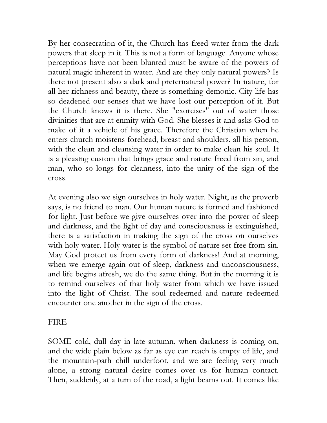By her consecration of it, the Church has freed water from the dark powers that sleep in it. This is not a form of language. Anyone whose perceptions have not been blunted must be aware of the powers of natural magic inherent in water. And are they only natural powers? Is there not present also a dark and preternatural power? In nature, for all her richness and beauty, there is something demonic. City life has so deadened our senses that we have lost our perception of it. But the Church knows it is there. She "exorcises" out of water those divinities that are at enmity with God. She blesses it and asks God to make of it a vehicle of his grace. Therefore the Christian when he enters church moistens forehead, breast and shoulders, all his person, with the clean and cleansing water in order to make clean his soul. It is a pleasing custom that brings grace and nature freed from sin, and man, who so longs for cleanness, into the unity of the sign of the cross.

At evening also we sign ourselves in holy water. Night, as the proverb says, is no friend to man. Our human nature is formed and fashioned for light. Just before we give ourselves over into the power of sleep and darkness, and the light of day and consciousness is extinguished, there is a satisfaction in making the sign of the cross on ourselves with holy water. Holy water is the symbol of nature set free from sin. May God protect us from every form of darkness! And at morning, when we emerge again out of sleep, darkness and unconsciousness, and life begins afresh, we do the same thing. But in the morning it is to remind ourselves of that holy water from which we have issued into the light of Christ. The soul redeemed and nature redeemed encounter one another in the sign of the cross.

#### **FIRE**

SOME cold, dull day in late autumn, when darkness is coming on, and the wide plain below as far as eye can reach is empty of life, and the mountain-path chill underfoot, and we are feeling very much alone, a strong natural desire comes over us for human contact. Then, suddenly, at a turn of the road, a light beams out. It comes like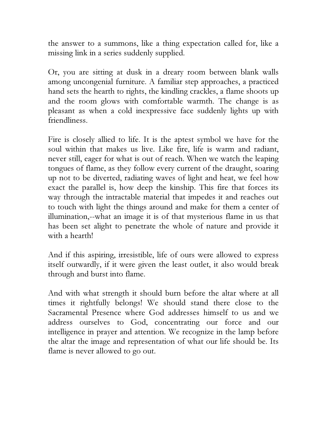the answer to a summons, like a thing expectation called for, like a missing link in a series suddenly supplied.

Or, you are sitting at dusk in a dreary room between blank walls among uncongenial furniture. A familiar step approaches, a practiced hand sets the hearth to rights, the kindling crackles, a flame shoots up and the room glows with comfortable warmth. The change is as pleasant as when a cold inexpressive face suddenly lights up with friendliness.

Fire is closely allied to life. It is the aptest symbol we have for the soul within that makes us live. Like fire, life is warm and radiant, never still, eager for what is out of reach. When we watch the leaping tongues of flame, as they follow every current of the draught, soaring up not to be diverted, radiating waves of light and heat, we feel how exact the parallel is, how deep the kinship. This fire that forces its way through the intractable material that impedes it and reaches out to touch with light the things around and make for them a center of illumination,--what an image it is of that mysterious flame in us that has been set alight to penetrate the whole of nature and provide it with a hearth!

And if this aspiring, irresistible, life of ours were allowed to express itself outwardly, if it were given the least outlet, it also would break through and burst into flame.

And with what strength it should burn before the altar where at all times it rightfully belongs! We should stand there close to the Sacramental Presence where God addresses himself to us and we address ourselves to God, concentrating our force and our intelligence in prayer and attention. We recognize in the lamp before the altar the image and representation of what our life should be. Its flame is never allowed to go out.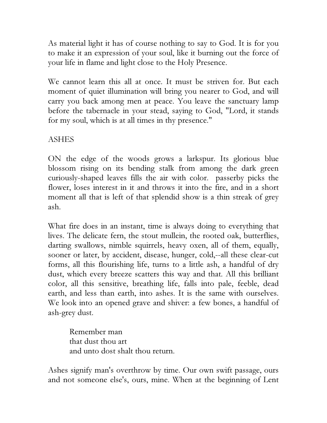As material light it has of course nothing to say to God. It is for you to make it an expression of your soul, like it burning out the force of your life in flame and light close to the Holy Presence.

We cannot learn this all at once. It must be striven for. But each moment of quiet illumination will bring you nearer to God, and will carry you back among men at peace. You leave the sanctuary lamp before the tabernacle in your stead, saying to God, "Lord, it stands for my soul, which is at all times in thy presence."

ASHES

ON the edge of the woods grows a larkspur. Its glorious blue blossom rising on its bending stalk from among the dark green curiously-shaped leaves fills the air with color. passerby picks the flower, loses interest in it and throws it into the fire, and in a short moment all that is left of that splendid show is a thin streak of grey ash.

What fire does in an instant, time is always doing to everything that lives. The delicate fern, the stout mullein, the rooted oak, butterflies, darting swallows, nimble squirrels, heavy oxen, all of them, equally, sooner or later, by accident, disease, hunger, cold,--all these clear-cut forms, all this flourishing life, turns to a little ash, a handful of dry dust, which every breeze scatters this way and that. All this brilliant color, all this sensitive, breathing life, falls into pale, feeble, dead earth, and less than earth, into ashes. It is the same with ourselves. We look into an opened grave and shiver: a few bones, a handful of ash-grey dust.

 Remember man that dust thou art and unto dost shalt thou return.

Ashes signify man's overthrow by time. Our own swift passage, ours and not someone else's, ours, mine. When at the beginning of Lent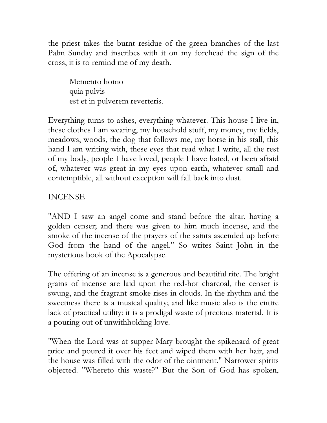the priest takes the burnt residue of the green branches of the last Palm Sunday and inscribes with it on my forehead the sign of the cross, it is to remind me of my death.

 Memento homo quia pulvis est et in pulverem reverteris.

Everything turns to ashes, everything whatever. This house I live in, these clothes I am wearing, my household stuff, my money, my fields, meadows, woods, the dog that follows me, my horse in his stall, this hand I am writing with, these eyes that read what I write, all the rest of my body, people I have loved, people I have hated, or been afraid of, whatever was great in my eyes upon earth, whatever small and contemptible, all without exception will fall back into dust.

## INCENSE

"AND I saw an angel come and stand before the altar, having a golden censer; and there was given to him much incense, and the smoke of the incense of the prayers of the saints ascended up before God from the hand of the angel." So writes Saint John in the mysterious book of the Apocalypse.

The offering of an incense is a generous and beautiful rite. The bright grains of incense are laid upon the red-hot charcoal, the censer is swung, and the fragrant smoke rises in clouds. In the rhythm and the sweetness there is a musical quality; and like music also is the entire lack of practical utility: it is a prodigal waste of precious material. It is a pouring out of unwithholding love.

"When the Lord was at supper Mary brought the spikenard of great price and poured it over his feet and wiped them with her hair, and the house was filled with the odor of the ointment." Narrower spirits objected. "Whereto this waste?" But the Son of God has spoken,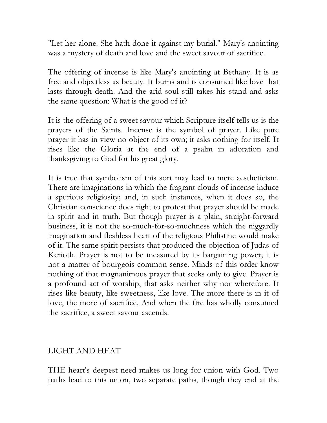"Let her alone. She hath done it against my burial." Mary's anointing was a mystery of death and love and the sweet savour of sacrifice.

The offering of incense is like Mary's anointing at Bethany. It is as free and objectless as beauty. It burns and is consumed like love that lasts through death. And the arid soul still takes his stand and asks the same question: What is the good of it?

It is the offering of a sweet savour which Scripture itself tells us is the prayers of the Saints. Incense is the symbol of prayer. Like pure prayer it has in view no object of its own; it asks nothing for itself. It rises like the Gloria at the end of a psalm in adoration and thanksgiving to God for his great glory.

It is true that symbolism of this sort may lead to mere aestheticism. There are imaginations in which the fragrant clouds of incense induce a spurious religiosity; and, in such instances, when it does so, the Christian conscience does right to protest that prayer should be made in spirit and in truth. But though prayer is a plain, straight-forward business, it is not the so-much-for-so-muchness which the niggardly imagination and fleshless heart of the religious Philistine would make of it. The same spirit persists that produced the objection of Judas of Kerioth. Prayer is not to be measured by its bargaining power; it is not a matter of bourgeois common sense. Minds of this order know nothing of that magnanimous prayer that seeks only to give. Prayer is a profound act of worship, that asks neither why nor wherefore. It rises like beauty, like sweetness, like love. The more there is in it of love, the more of sacrifice. And when the fire has wholly consumed the sacrifice, a sweet savour ascends.

### LIGHT AND HEAT

THE heart's deepest need makes us long for union with God. Two paths lead to this union, two separate paths, though they end at the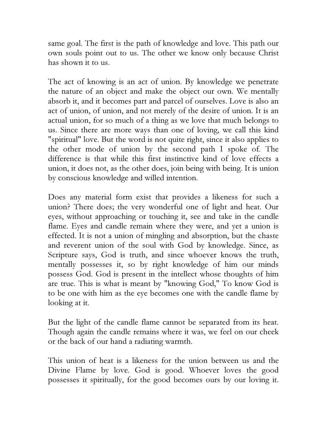same goal. The first is the path of knowledge and love. This path our own souls point out to us. The other we know only because Christ has shown it to us.

The act of knowing is an act of union. By knowledge we penetrate the nature of an object and make the object our own. We mentally absorb it, and it becomes part and parcel of ourselves. Love is also an act of union, of union, and not merely of the desire of union. It is an actual union, for so much of a thing as we love that much belongs to us. Since there are more ways than one of loving, we call this kind "spiritual" love. But the word is not quite right, since it also applies to the other mode of union by the second path I spoke of. The difference is that while this first instinctive kind of love effects a union, it does not, as the other does, join being with being. It is union by conscious knowledge and willed intention.

Does any material form exist that provides a likeness for such a union? There does; the very wonderful one of light and heat. Our eyes, without approaching or touching it, see and take in the candle flame. Eyes and candle remain where they were, and yet a union is effected. It is not a union of mingling and absorption, but the chaste and reverent union of the soul with God by knowledge. Since, as Scripture says, God is truth, and since whoever knows the truth, mentally possesses it, so by right knowledge of him our minds possess God. God is present in the intellect whose thoughts of him are true. This is what is meant by "knowing God," To know God is to be one with him as the eye becomes one with the candle flame by looking at it.

But the light of the candle flame cannot be separated from its heat. Though again the candle remains where it was, we feel on our cheek or the back of our hand a radiating warmth.

This union of heat is a likeness for the union between us and the Divine Flame by love. God is good. Whoever loves the good possesses it spiritually, for the good becomes ours by our loving it.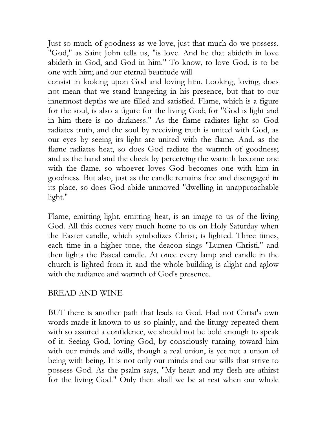Just so much of goodness as we love, just that much do we possess. "God," as Saint John tells us, "is love. And he that abideth in love abideth in God, and God in him." To know, to love God, is to be one with him; and our eternal beatitude will

consist in looking upon God and loving him. Looking, loving, does not mean that we stand hungering in his presence, but that to our innermost depths we are filled and satisfied. Flame, which is a figure for the soul, is also a figure for the living God; for "God is light and in him there is no darkness." As the flame radiates light so God radiates truth, and the soul by receiving truth is united with God, as our eyes by seeing its light are united with the flame. And, as the flame radiates heat, so does God radiate the warmth of goodness; and as the hand and the cheek by perceiving the warmth become one with the flame, so whoever loves God becomes one with him in goodness. But also, just as the candle remains free and disengaged in its place, so does God abide unmoved "dwelling in unapproachable light."

Flame, emitting light, emitting heat, is an image to us of the living God. All this comes very much home to us on Holy Saturday when the Easter candle, which symbolizes Christ; is lighted. Three times, each time in a higher tone, the deacon sings "Lumen Christi," and then lights the Pascal candle. At once every lamp and candle in the church is lighted from it, and the whole building is alight and aglow with the radiance and warmth of God's presence.

## BREAD AND WINE

BUT there is another path that leads to God. Had not Christ's own words made it known to us so plainly, and the liturgy repeated them with so assured a confidence, we should not be bold enough to speak of it. Seeing God, loving God, by consciously turning toward him with our minds and wills, though a real union, is yet not a union of being with being. It is not only our minds and our wills that strive to possess God. As the psalm says, "My heart and my flesh are athirst for the living God." Only then shall we be at rest when our whole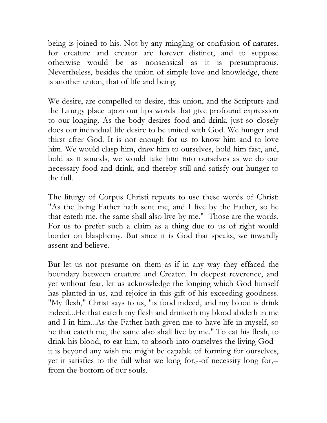being is joined to his. Not by any mingling or confusion of natures, for creature and creator are forever distinct, and to suppose otherwise would be as nonsensical as it is presumptuous. Nevertheless, besides the union of simple love and knowledge, there is another union, that of life and being.

We desire, are compelled to desire, this union, and the Scripture and the Liturgy place upon our lips words that give profound expression to our longing. As the body desires food and drink, just so closely does our individual life desire to be united with God. We hunger and thirst after God. It is not enough for us to know him and to love him. We would clasp him, draw him to ourselves, hold him fast, and, bold as it sounds, we would take him into ourselves as we do our necessary food and drink, and thereby still and satisfy our hunger to the full.

The liturgy of Corpus Christi repeats to use these words of Christ: "As the living Father hath sent me, and I live by the Father, so he that eateth me, the same shall also live by me." Those are the words. For us to prefer such a claim as a thing due to us of right would border on blasphemy. But since it is God that speaks, we inwardly assent and believe.

But let us not presume on them as if in any way they effaced the boundary between creature and Creator. In deepest reverence, and yet without fear, let us acknowledge the longing which God himself has planted in us, and rejoice in this gift of his exceeding goodness. "My flesh," Christ says to us, "is food indeed, and my blood is drink indeed...He that eateth my flesh and drinketh my blood abideth in me and I in him...As the Father hath given me to have life in myself, so he that eateth me, the same also shall live by me." To eat his flesh, to drink his blood, to eat him, to absorb into ourselves the living God- it is beyond any wish me might be capable of forming for ourselves, yet it satisfies to the full what we long for,--of necessity long for,- from the bottom of our souls.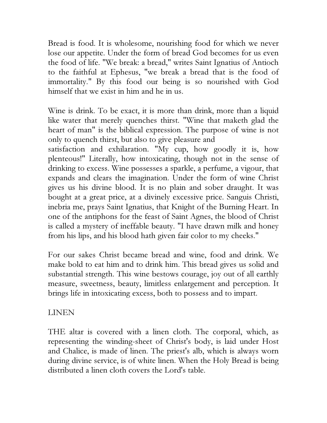Bread is food. It is wholesome, nourishing food for which we never lose our appetite. Under the form of bread God becomes for us even the food of life. "We break: a bread," writes Saint Ignatius of Antioch to the faithful at Ephesus, "we break a bread that is the food of immortality." By this food our being is so nourished with God himself that we exist in him and he in us.

Wine is drink. To be exact, it is more than drink, more than a liquid like water that merely quenches thirst. "Wine that maketh glad the heart of man" is the biblical expression. The purpose of wine is not only to quench thirst, but also to give pleasure and

satisfaction and exhilaration. "My cup, how goodly it is, how plenteous!" Literally, how intoxicating, though not in the sense of drinking to excess. Wine possesses a sparkle, a perfume, a vigour, that expands and clears the imagination. Under the form of wine Christ gives us his divine blood. It is no plain and sober draught. It was bought at a great price, at a divinely excessive price. Sanguis Christi, inebria me, prays Saint Ignatius, that Knight of the Burning Heart. In one of the antiphons for the feast of Saint Agnes, the blood of Christ is called a mystery of ineffable beauty. "I have drawn milk and honey from his lips, and his blood hath given fair color to my cheeks."

For our sakes Christ became bread and wine, food and drink. We make bold to eat him and to drink him. This bread gives us solid and substantial strength. This wine bestows courage, joy out of all earthly measure, sweetness, beauty, limitless enlargement and perception. It brings life in intoxicating excess, both to possess and to impart.

## LINEN

THE altar is covered with a linen cloth. The corporal, which, as representing the winding-sheet of Christ's body, is laid under Host and Chalice, is made of linen. The priest's alb, which is always worn during divine service, is of white linen. When the Holy Bread is being distributed a linen cloth covers the Lord's table.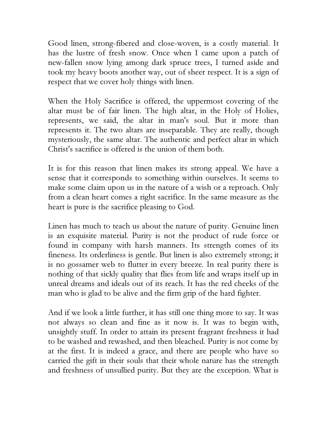Good linen, strong-fibered and close-woven, is a costly material. It has the lustre of fresh snow. Once when I came upon a patch of new-fallen snow lying among dark spruce trees, I turned aside and took my heavy boots another way, out of sheer respect. It is a sign of respect that we cover holy things with linen.

When the Holy Sacrifice is offered, the uppermost covering of the altar must be of fair linen. The high altar, in the Holy of Holies, represents, we said, the altar in man's soul. But it more than represents it. The two altars are inseparable. They are really, though mysteriously, the same altar. The authentic and perfect altar in which Christ's sacrifice is offered is the union of them both.

It is for this reason that linen makes its strong appeal. We have a sense that it corresponds to something within ourselves. It seems to make some claim upon us in the nature of a wish or a reproach. Only from a clean heart comes a right sacrifice. In the same measure as the heart is pure is the sacrifice pleasing to God.

Linen has much to teach us about the nature of purity. Genuine linen is an exquisite material. Purity is not the product of rude force or found in company with harsh manners. Its strength comes of its fineness. Its orderliness is gentle. But linen is also extremely strong; it is no gossamer web to flutter in every breeze. In real purity there is nothing of that sickly quality that flies from life and wraps itself up in unreal dreams and ideals out of its reach. It has the red cheeks of the man who is glad to be alive and the firm grip of the hard fighter.

And if we look a little further, it has still one thing more to say. It was not always so clean and fine as it now is. It was to begin with, unsightly stuff. In order to attain its present fragrant freshness it had to be washed and rewashed, and then bleached. Purity is not come by at the first. It is indeed a grace, and there are people who have so carried the gift in their souls that their whole nature has the strength and freshness of unsullied purity. But they are the exception. What is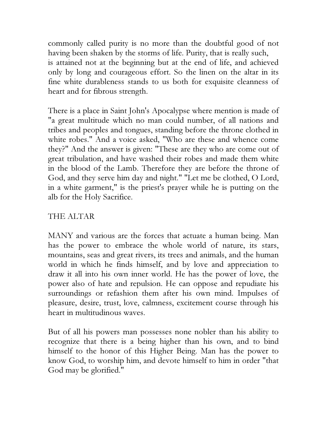commonly called purity is no more than the doubtful good of not having been shaken by the storms of life. Purity, that is really such, is attained not at the beginning but at the end of life, and achieved only by long and courageous effort. So the linen on the altar in its fine white durableness stands to us both for exquisite cleanness of heart and for fibrous strength.

There is a place in Saint John's Apocalypse where mention is made of "a great multitude which no man could number, of all nations and tribes and peoples and tongues, standing before the throne clothed in white robes." And a voice asked, "Who are these and whence come they?" And the answer is given: "These are they who are come out of great tribulation, and have washed their robes and made them white in the blood of the Lamb. Therefore they are before the throne of God, and they serve him day and night." "Let me be clothed, O Lord, in a white garment," is the priest's prayer while he is putting on the alb for the Holy Sacrifice.

## THE ALTAR

MANY and various are the forces that actuate a human being. Man has the power to embrace the whole world of nature, its stars, mountains, seas and great rivers, its trees and animals, and the human world in which he finds himself, and by love and appreciation to draw it all into his own inner world. He has the power of love, the power also of hate and repulsion. He can oppose and repudiate his surroundings or refashion them after his own mind. Impulses of pleasure, desire, trust, love, calmness, excitement course through his heart in multitudinous waves.

But of all his powers man possesses none nobler than his ability to recognize that there is a being higher than his own, and to bind himself to the honor of this Higher Being. Man has the power to know God, to worship him, and devote himself to him in order "that God may be glorified."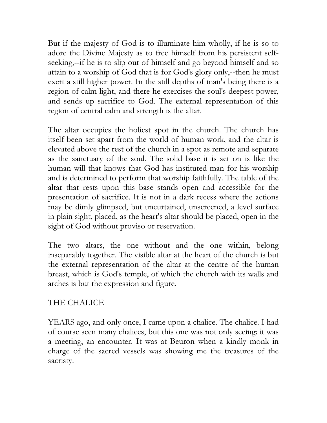But if the majesty of God is to illuminate him wholly, if he is so to adore the Divine Majesty as to free himself from his persistent selfseeking,--if he is to slip out of himself and go beyond himself and so attain to a worship of God that is for God's glory only,--then he must exert a still higher power. In the still depths of man's being there is a region of calm light, and there he exercises the soul's deepest power, and sends up sacrifice to God. The external representation of this region of central calm and strength is the altar.

The altar occupies the holiest spot in the church. The church has itself been set apart from the world of human work, and the altar is elevated above the rest of the church in a spot as remote and separate as the sanctuary of the soul. The solid base it is set on is like the human will that knows that God has instituted man for his worship and is determined to perform that worship faithfully. The table of the altar that rests upon this base stands open and accessible for the presentation of sacrifice. It is not in a dark recess where the actions may be dimly glimpsed, but uncurtained, unscreened, a level surface in plain sight, placed, as the heart's altar should be placed, open in the sight of God without proviso or reservation.

The two altars, the one without and the one within, belong inseparably together. The visible altar at the heart of the church is but the external representation of the altar at the centre of the human breast, which is God's temple, of which the church with its walls and arches is but the expression and figure.

## THE CHALICE

YEARS ago, and only once, I came upon a chalice. The chalice. I had of course seen many chalices, but this one was not only seeing; it was a meeting, an encounter. It was at Beuron when a kindly monk in charge of the sacred vessels was showing me the treasures of the sacristy.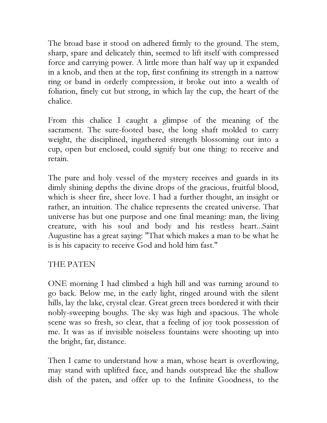The broad base it stood on adhered firmly to the ground. The stem, sharp, spare and delicately thin, seemed to lift itself with compressed force and carrying power. A little more than half way up it expanded in a knob, and then at the top, first confining its strength in a narrow ring or band in orderly compression, it broke out into a wealth of foliation, finely cut but strong, in which lay the cup, the heart of the chalice.

From this chalice I caught a glimpse of the meaning of the sacrament. The sure-footed base, the long shaft molded to carry weight, the disciplined, ingathered strength blossoming out into a cup, open but enclosed, could signify but one thing: to receive and retain.

The pure and holy vessel of the mystery receives and guards in its dimly shining depths the divine drops of the gracious, fruitful blood, which is sheer fire, sheer love. I had a further thought, an insight or rather, an intuition. The chalice represents the created universe. That universe has but one purpose and one final meaning: man, the living creature, with his soul and body and his restless heart...Saint Augustine has a great saying: "That which makes a man to be what he is is his capacity to receive God and hold him fast."

## THE PATEN

ONE morning I had climbed a high hill and was turning around to go back. Below me, in the early light, ringed around with the silent hills, lay the lake, crystal clear. Great green trees bordered it with their nobly-sweeping boughs. The sky was high and spacious. The whole scene was so fresh, so clear, that a feeling of joy took possession of me. It was as if invisible noiseless fountains were shooting up into the bright, far, distance.

Then I came to understand how a man, whose heart is overflowing, may stand with uplifted face, and hands outspread like the shallow dish of the paten, and offer up to the Infinite Goodness, to the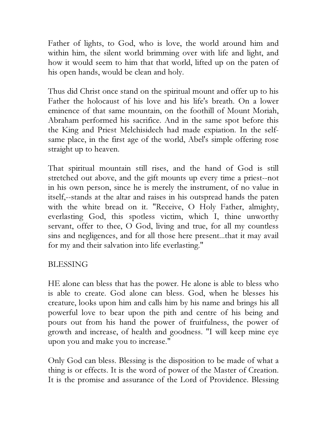Father of lights, to God, who is love, the world around him and within him, the silent world brimming over with life and light, and how it would seem to him that that world, lifted up on the paten of his open hands, would be clean and holy.

Thus did Christ once stand on the spiritual mount and offer up to his Father the holocaust of his love and his life's breath. On a lower eminence of that same mountain, on the foothill of Mount Moriah, Abraham performed his sacrifice. And in the same spot before this the King and Priest Melchisidech had made expiation. In the selfsame place, in the first age of the world, Abel's simple offering rose straight up to heaven.

That spiritual mountain still rises, and the hand of God is still stretched out above, and the gift mounts up every time a priest--not in his own person, since he is merely the instrument, of no value in itself,--stands at the altar and raises in his outspread hands the paten with the white bread on it. "Receive, O Holy Father, almighty, everlasting God, this spotless victim, which I, thine unworthy servant, offer to thee, O God, living and true, for all my countless sins and negligences, and for all those here present...that it may avail for my and their salvation into life everlasting."

### BLESSING

HE alone can bless that has the power. He alone is able to bless who is able to create. God alone can bless. God, when he blesses his creature, looks upon him and calls him by his name and brings his all powerful love to bear upon the pith and centre of his being and pours out from his hand the power of fruitfulness, the power of growth and increase, of health and goodness. "I will keep mine eye upon you and make you to increase."

Only God can bless. Blessing is the disposition to be made of what a thing is or effects. It is the word of power of the Master of Creation. It is the promise and assurance of the Lord of Providence. Blessing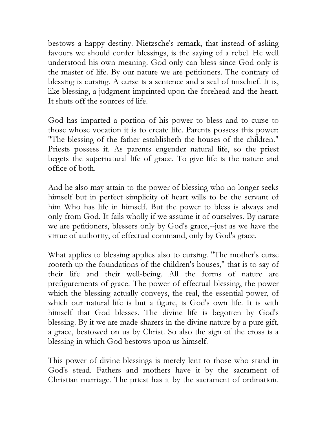bestows a happy destiny. Nietzsche's remark, that instead of asking favours we should confer blessings, is the saying of a rebel. He well understood his own meaning. God only can bless since God only is the master of life. By our nature we are petitioners. The contrary of blessing is cursing. A curse is a sentence and a seal of mischief. It is, like blessing, a judgment imprinted upon the forehead and the heart. It shuts off the sources of life.

God has imparted a portion of his power to bless and to curse to those whose vocation it is to create life. Parents possess this power: "The blessing of the father establisheth the houses of the children." Priests possess it. As parents engender natural life, so the priest begets the supernatural life of grace. To give life is the nature and office of both.

And he also may attain to the power of blessing who no longer seeks himself but in perfect simplicity of heart wills to be the servant of him Who has life in himself. But the power to bless is always and only from God. It fails wholly if we assume it of ourselves. By nature we are petitioners, blessers only by God's grace,--just as we have the virtue of authority, of effectual command, only by God's grace.

What applies to blessing applies also to cursing. "The mother's curse rooteth up the foundations of the children's houses," that is to say of their life and their well-being. All the forms of nature are prefigurements of grace. The power of effectual blessing, the power which the blessing actually conveys, the real, the essential power, of which our natural life is but a figure, is God's own life. It is with himself that God blesses. The divine life is begotten by God's blessing. By it we are made sharers in the divine nature by a pure gift, a grace, bestowed on us by Christ. So also the sign of the cross is a blessing in which God bestows upon us himself.

This power of divine blessings is merely lent to those who stand in God's stead. Fathers and mothers have it by the sacrament of Christian marriage. The priest has it by the sacrament of ordination.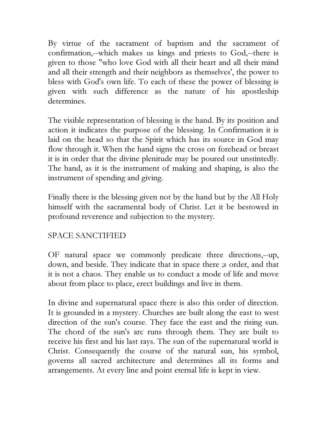By virtue of the sacrament of baptism and the sacrament of confirmation,--which makes us kings and priests to God,--there is given to those "who love God with all their heart and all their mind and all their strength and their neighbors as themselves', the power to bless with God's own life. To each of these the power of blessing is given with such difference as the nature of his apostleship determines.

The visible representation of blessing is the hand. By its position and action it indicates the purpose of the blessing. In Confirmation it is laid on the head so that the Spirit which has its source in God may flow through it. When the hand signs the cross on forehead or breast it is in order that the divine plenitude may be poured out unstintedly. The hand, as it is the instrument of making and shaping, is also the instrument of spending and giving.

Finally there is the blessing given not by the hand but by the All Holy himself with the sacramental body of Christ. Let it be bestowed in profound reverence and subjection to the mystery.

## SPACE SANCTIFIED

OF natural space we commonly predicate three directions,--up, down, and beside. They indicate that in space there ;s order, and that it is not a chaos. They enable us to conduct a mode of life and move about from place to place, erect buildings and live in them.

In divine and supernatural space there is also this order of direction. It is grounded in a mystery. Churches are built along the east to west direction of the sun's course. They face the east and the rising sun. The chord of the sun's arc runs through them. They are built to receive his first and his last rays. The sun of the supernatural world is Christ. Consequently the course of the natural sun, his symbol, governs all sacred architecture and determines all its forms and arrangements. At every line and point eternal life is kept in view.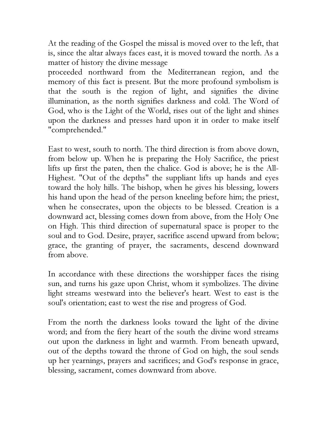At the reading of the Gospel the missal is moved over to the left, that is, since the altar always faces east, it is moved toward the north. As a matter of history the divine message

proceeded northward from the Mediterranean region, and the memory of this fact is present. But the more profound symbolism is that the south is the region of light, and signifies the divine illumination, as the north signifies darkness and cold. The Word of God, who is the Light of the World, rises out of the light and shines upon the darkness and presses hard upon it in order to make itself "comprehended."

East to west, south to north. The third direction is from above down, from below up. When he is preparing the Holy Sacrifice, the priest lifts up first the paten, then the chalice. God is above; he is the All-Highest. "Out of the depths" the suppliant lifts up hands and eyes toward the holy hills. The bishop, when he gives his blessing, lowers his hand upon the head of the person kneeling before him; the priest, when he consecrates, upon the objects to be blessed. Creation is a downward act, blessing comes down from above, from the Holy One on High. This third direction of supernatural space is proper to the soul and to God. Desire, prayer, sacrifice ascend upward from below; grace, the granting of prayer, the sacraments, descend downward from above.

In accordance with these directions the worshipper faces the rising sun, and turns his gaze upon Christ, whom it symbolizes. The divine light streams westward into the believer's heart. West to east is the soul's orientation; east to west the rise and progress of God.

From the north the darkness looks toward the light of the divine word; and from the fiery heart of the south the divine word streams out upon the darkness in light and warmth. From beneath upward, out of the depths toward the throne of God on high, the soul sends up her yearnings, prayers and sacrifices; and God's response in grace, blessing, sacrament, comes downward from above.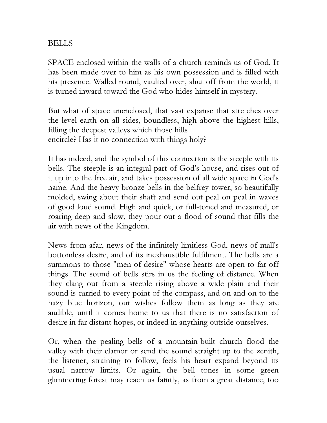#### BELLS

SPACE enclosed within the walls of a church reminds us of God. It has been made over to him as his own possession and is filled with his presence. Walled round, vaulted over, shut off from the world, it is turned inward toward the God who hides himself in mystery.

But what of space unenclosed, that vast expanse that stretches over the level earth on all sides, boundless, high above the highest hills, filling the deepest valleys which those hills encircle? Has it no connection with things holy?

It has indeed, and the symbol of this connection is the steeple with its bells. The steeple is an integral part of God's house, and rises out of it up into the free air, and takes possession of all wide space in God's name. And the heavy bronze bells in the belfrey tower, so beautifully molded, swing about their shaft and send out peal on peal in waves of good loud sound. High and quick, or full-toned and measured, or roaring deep and slow, they pour out a flood of sound that fills the air with news of the Kingdom.

News from afar, news of the infinitely limitless God, news of mall's bottomless desire, and of its inexhaustible fulfilment. The bells are a summons to those "men of desire" whose hearts are open to far-off things. The sound of bells stirs in us the feeling of distance. When they clang out from a steeple rising above a wide plain and their sound is carried to every point of the compass, and on and on to the hazy blue horizon, our wishes follow them as long as they are audible, until it comes home to us that there is no satisfaction of desire in far distant hopes, or indeed in anything outside ourselves.

Or, when the pealing bells of a mountain-built church flood the valley with their clamor or send the sound straight up to the zenith, the listener, straining to follow, feels his heart expand beyond its usual narrow limits. Or again, the bell tones in some green glimmering forest may reach us faintly, as from a great distance, too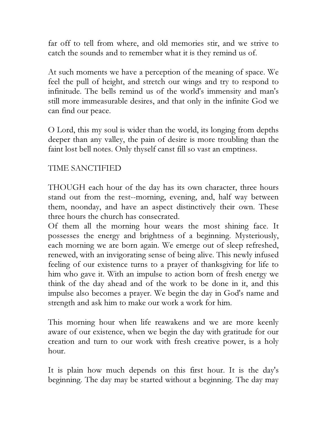far off to tell from where, and old memories stir, and we strive to catch the sounds and to remember what it is they remind us of.

At such moments we have a perception of the meaning of space. We feel the pull of height, and stretch our wings and try to respond to infinitude. The bells remind us of the world's immensity and man's still more immeasurable desires, and that only in the infinite God we can find our peace.

O Lord, this my soul is wider than the world, its longing from depths deeper than any valley, the pain of desire is more troubling than the faint lost bell notes. Only thyself canst fill so vast an emptiness.

## TIME SANCTIFIED

THOUGH each hour of the day has its own character, three hours stand out from the rest--morning, evening, and, half way between them, noonday, and have an aspect distinctively their own. These three hours the church has consecrated.

Of them all the morning hour wears the most shining face. It possesses the energy and brightness of a beginning. Mysteriously, each morning we are born again. We emerge out of sleep refreshed, renewed, with an invigorating sense of being alive. This newly infused feeling of our existence turns to a prayer of thanksgiving for life to him who gave it. With an impulse to action born of fresh energy we think of the day ahead and of the work to be done in it, and this impulse also becomes a prayer. We begin the day in God's name and strength and ask him to make our work a work for him.

This morning hour when life reawakens and we are more keenly aware of our existence, when we begin the day with gratitude for our creation and turn to our work with fresh creative power, is a holy hour.

It is plain how much depends on this first hour. It is the day's beginning. The day may be started without a beginning. The day may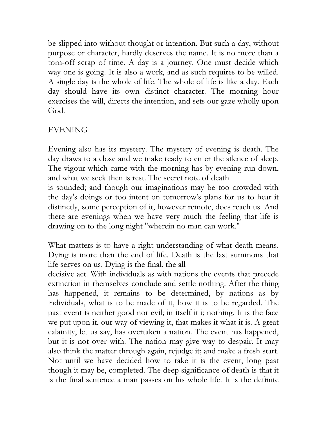be slipped into without thought or intention. But such a day, without purpose or character, hardly deserves the name. It is no more than a torn-off scrap of time. A day is a journey. One must decide which way one is going. It is also a work, and as such requires to be willed. A single day is the whole of life. The whole of life is like a day. Each day should have its own distinct character. The morning hour exercises the will, directs the intention, and sets our gaze wholly upon God.

#### EVENING

Evening also has its mystery. The mystery of evening is death. The day draws to a close and we make ready to enter the silence of sleep. The vigour which came with the morning has by evening run down, and what we seek then is rest. The secret note of death is sounded; and though our imaginations may be too crowded with the day's doings or too intent on tomorrow's plans for us to hear it distinctly, some perception of it, however remote, does reach us. And there are evenings when we have very much the feeling that life is drawing on to the long night "wherein no man can work."

What matters is to have a right understanding of what death means. Dying is more than the end of life. Death is the last summons that life serves on us. Dying is the final, the all-

decisive act. With individuals as with nations the events that precede extinction in themselves conclude and settle nothing. After the thing has happened, it remains to be determined, by nations as by individuals, what is to be made of it, how it is to be regarded. The past event is neither good nor evil; in itself it i; nothing. It is the face we put upon it, our way of viewing it, that makes it what it is. A great calamity, let us say, has overtaken a nation. The event has happened, but it is not over with. The nation may give way to despair. It may also think the matter through again, rejudge it; and make a fresh start. Not until we have decided how to take it is the event, long past though it may be, completed. The deep significance of death is that it is the final sentence a man passes on his whole life. It is the definite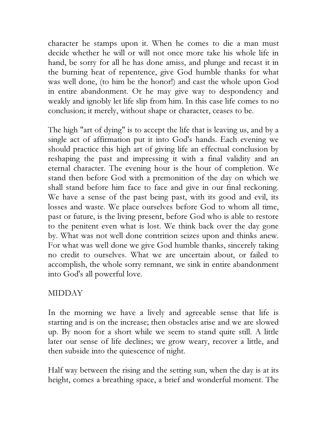character he stamps upon it. When he comes to die a man must decide whether he will or will not once more take his whole life in hand, be sorry for all he has done amiss, and plunge and recast it in the burning heat of repentence, give God humble thanks for what was well done, (to him be the honor!) and cast the whole upon God in entire abandonment. Or he may give way to despondency and weakly and ignobly let life slip from him. In this case life comes to no conclusion; it merely, without shape or character, ceases to be.

The high "art of dying" is to accept the life that is leaving us, and by a single act of affirmation put it into God's hands. Each evening we should practice this high art of giving life an effectual conclusion by reshaping the past and impressing it with a final validity and an eternal character. The evening hour is the hour of completion. We stand then before God with a premonition of the day on which we shall stand before him face to face and give in our final reckoning. We have a sense of the past being past, with its good and evil, its losses and waste. We place ourselves before God to whom all time, past or future, is the living present, before God who is able to restore to the penitent even what is lost. We think back over the day gone by. What was not well done contrition seizes upon and thinks anew. For what was well done we give God humble thanks, sincerely taking no credit to ourselves. What we are uncertain about, or failed to accomplish, the whole sorry remnant, we sink in entire abandonment into God's all powerful love.

### MIDDAY

In the morning we have a lively and agreeable sense that life is starting and is on the increase; then obstacles arise and we are slowed up. By noon for a short while we seem to stand quite still. A little later our sense of life declines; we grow weary, recover a little, and then subside into the quiescence of night.

Half way between the rising and the setting sun, when the day is at its height, comes a breathing space, a brief and wonderful moment. The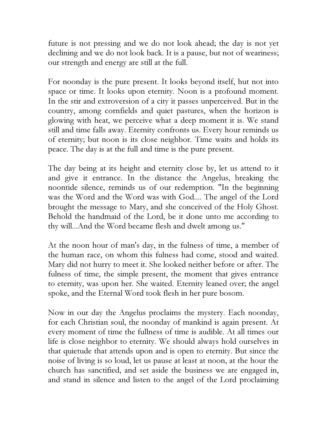future is not pressing and we do not look ahead; the day is not yet declining and we do not look back. It is a pause, but not of weariness; our strength and energy are still at the full.

For noonday is the pure present. It looks beyond itself, hut not into space or time. It looks upon eternity. Noon is a profound moment. In the stir and extroversion of a city it passes unperceived. But in the country, among cornfields and quiet pastures, when the horizon is glowing with heat, we perceive what a deep moment it is. We stand still and time falls away. Eternity confronts us. Every hour reminds us of eternity; but noon is its close neighbor. Time waits and holds its peace. The day is at the full and time is the pure present.

The day being at its height and eternity close by, let us attend to it and give it entrance. In the distance the Angelus, breaking the noontide silence, reminds us of our redemption. "In the beginning was the Word and the Word was with God.... The angel of the Lord brought the message to Mary, and she conceived of the Holy Ghost. Behold the handmaid of the Lord, be it done unto me according to thy will...And the Word became flesh and dwelt among us."

At the noon hour of man's day, in the fulness of time, a member of the human race, on whom this fulness had come, stood and waited. Mary did not hurry to meet it. She looked neither before or after. The fulness of time, the simple present, the moment that gives entrance to eternity, was upon her. She waited. Eternity leaned over; the angel spoke, and the Eternal Word took flesh in her pure bosom.

Now in our day the Angelus proclaims the mystery. Each noonday, for each Christian soul, the noonday of mankind is again present. At every moment of time the fullness of time is audible. At all times our life is close neighbor to eternity. We should always hold ourselves in that quietude that attends upon and is open to eternity. But since the noise of living is so loud, let us pause at least at noon, at the hour the church has sanctified, and set aside the business we are engaged in, and stand in silence and listen to the angel of the Lord proclaiming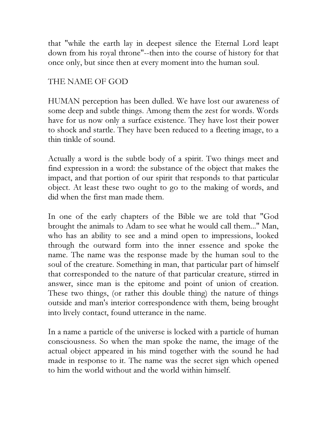that "while the earth lay in deepest silence the Eternal Lord leapt down from his royal throne"--then into the course of history for that once only, but since then at every moment into the human soul.

## THE NAME OF GOD

HUMAN perception has been dulled. We have lost our awareness of some deep and subtle things. Among them the zest for words. Words have for us now only a surface existence. They have lost their power to shock and startle. They have been reduced to a fleeting image, to a thin tinkle of sound.

Actually a word is the subtle body of a spirit. Two things meet and find expression in a word: the substance of the object that makes the impact, and that portion of our spirit that responds to that particular object. At least these two ought to go to the making of words, and did when the first man made them.

In one of the early chapters of the Bible we are told that "God brought the animals to Adam to see what he would call them..." Man, who has an ability to see and a mind open to impressions, looked through the outward form into the inner essence and spoke the name. The name was the response made by the human soul to the soul of the creature. Something in man, that particular part of himself that corresponded to the nature of that particular creature, stirred in answer, since man is the epitome and point of union of creation. These two things, (or rather this double thing) the nature of things outside and man's interior correspondence with them, being brought into lively contact, found utterance in the name.

In a name a particle of the universe is locked with a particle of human consciousness. So when the man spoke the name, the image of the actual object appeared in his mind together with the sound he had made in response to it. The name was the secret sign which opened to him the world without and the world within himself.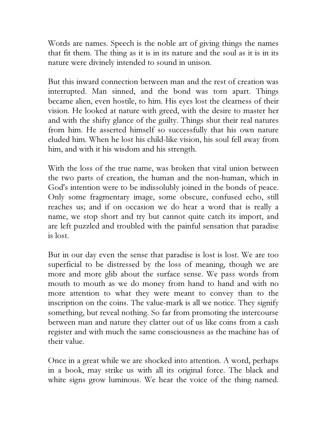Words are names. Speech is the noble art of giving things the names that fit them. The thing as it is in its nature and the soul as it is in its nature were divinely intended to sound in unison.

But this inward connection between man and the rest of creation was interrupted. Man sinned, and the bond was torn apart. Things became alien, even hostile, to him. His eyes lost the clearness of their vision. He looked at nature with greed, with the desire to master her and with the shifty glance of the guilty. Things shut their real natures from him. He asserted himself so successfully that his own nature eluded him. When he lost his child-like vision, his soul fell away from him, and with it his wisdom and his strength.

With the loss of the true name, was broken that vital union between the two parts of creation, the human and the non-human, which in God's intention were to be indissolubly joined in the bonds of peace. Only some fragmentary image, some obscure, confused echo, still reaches us; and if on occasion we do hear a word that is really a name, we stop short and try but cannot quite catch its import, and are left puzzled and troubled with the painful sensation that paradise is lost.

But in our day even the sense that paradise is lost is lost. We are too superficial to be distressed by the loss of meaning, though we are more and more glib about the surface sense. We pass words from mouth to mouth as we do money from hand to hand and with no more attention to what they were meant to convey than to the inscription on the coins. The value-mark is all we notice. They signify something, but reveal nothing. So far from promoting the intercourse between man and nature they clatter out of us like coins from a cash register and with much the same consciousness as the machine has of their value.

Once in a great while we are shocked into attention. A word, perhaps in a book, may strike us with all its original force. The black and white signs grow luminous. We hear the voice of the thing named.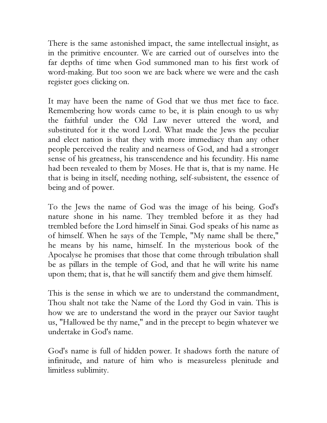There is the same astonished impact, the same intellectual insight, as in the primitive encounter. We are carried out of ourselves into the far depths of time when God summoned man to his first work of word-making. But too soon we are back where we were and the cash register goes clicking on.

It may have been the name of God that we thus met face to face. Remembering how words came to be, it is plain enough to us why the faithful under the Old Law never uttered the word, and substituted for it the word Lord. What made the Jews the peculiar and elect nation is that they with more immediacy than any other people perceived the reality and nearness of God, and had a stronger sense of his greatness, his transcendence and his fecundity. His name had been revealed to them by Moses. He that is, that is my name. He that is being in itself, needing nothing, self-subsistent, the essence of being and of power.

To the Jews the name of God was the image of his being. God's nature shone in his name. They trembled before it as they had trembled before the Lord himself in Sinai. God speaks of his name as of himself. When he says of the Temple, "My name shall be there," he means by his name, himself. In the mysterious book of the Apocalyse he promises that those that come through tribulation shall be as pillars in the temple of God, and that he will write his name upon them; that is, that he will sanctify them and give them himself.

This is the sense in which we are to understand the commandment, Thou shalt not take the Name of the Lord thy God in vain. This is how we are to understand the word in the prayer our Savior taught us, "Hallowed be thy name," and in the precept to begin whatever we undertake in God's name.

God's name is full of hidden power. It shadows forth the nature of infinitude, and nature of him who is measureless plenitude and limitless sublimity.